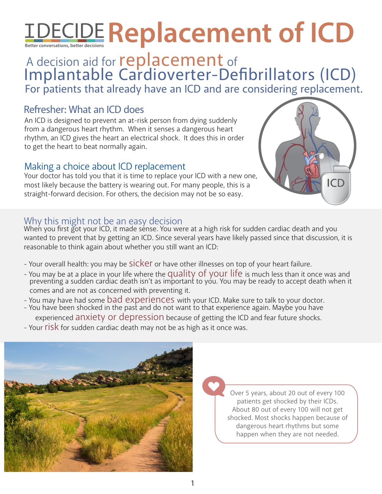# **IDECIDE Replacement of ICD**

# Implantable Cardioverter-Defibrillators (ICD) For patients that already have an ICD and are considering replacement. A decision aid for **replacement** of

## Refresher: What an ICD does

An ICD is designed to prevent an at-risk person from dying suddenly from a dangerous heart rhythm. When it senses a dangerous heart rhythm, an ICD gives the heart an electrical shock. It does this in order to get the heart to beat normally again.

#### Making a choice about ICD replacement

Your doctor has told you that it is time to replace your ICD with a new one, most likely because the battery is wearing out. For many people, this is a straight-forward decision. For others, the decision may not be so easy.

#### Why this might not be an easy decision

When you first got your ICD, it made sense. You were at a high risk for sudden cardiac death and you wanted to prevent that by getting an ICD. Since several years have likely passed since that discussion, it is reasonable to think again about whether you still want an ICD:

- Your overall health: you may be sicker or have other illnesses on top of your heart failure.
- You may be at a place in your life where the quality of your life is much less than it once was and preventing a sudden cardiac death isn't as important to you. You may be ready to accept death when it comes and are not as concerned with preventing it.
- You may have had some  $bad$  experiences with your ICD. Make sure to talk to your doctor.<br>- You have been shocked in the past and do not want to that experience again. Maybe you have
- experienced anxiety or depression because of getting the ICD and fear future shocks.
- Your risk for sudden cardiac death may not be as high as it once was.



Over 5 years, about 20 out of every 100 patients get shocked by their ICDs. About 80 out of every 100 will not get shocked. Most shocks happen because of dangerous heart rhythms but some happen when they are not needed.